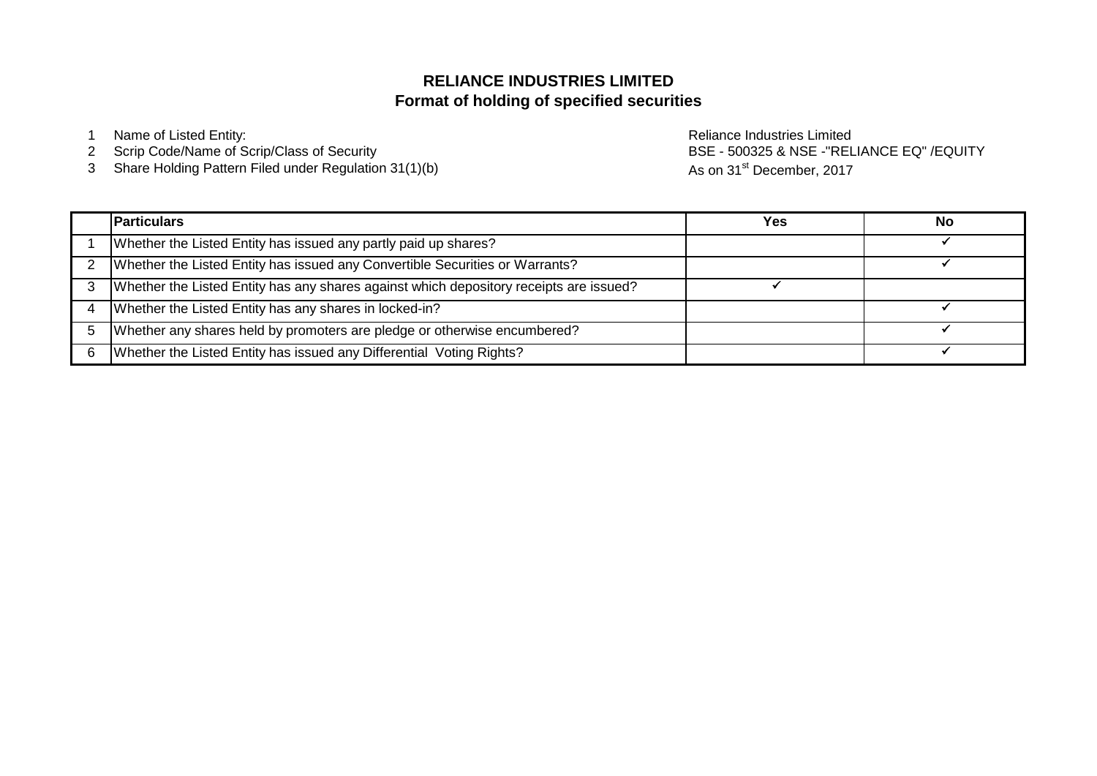# **Format of holding of specified securities RELIANCE INDUSTRIES LIMITED**

- 1 Name of Listed Entity: **Name of Listed Entity:** and the entity of the entity of the Reliance Industries Limited
- 2 Scrip Code/Name of Scrip/Class of Security
- 3 Share Holding Pattern Filed under Regulation 31(1)(b)

BSE - 500325 & NSE -"RELIANCE EQ" /EQUITY As on 31<sup>st</sup> December, 2017

|   | <b>Particulars</b>                                                                     | Yes | No |
|---|----------------------------------------------------------------------------------------|-----|----|
|   | Whether the Listed Entity has issued any partly paid up shares?                        |     |    |
|   | Whether the Listed Entity has issued any Convertible Securities or Warrants?           |     |    |
|   | Whether the Listed Entity has any shares against which depository receipts are issued? |     |    |
|   | Whether the Listed Entity has any shares in locked-in?                                 |     |    |
|   | Whether any shares held by promoters are pledge or otherwise encumbered?               |     |    |
| 6 | Whether the Listed Entity has issued any Differential Voting Rights?                   |     |    |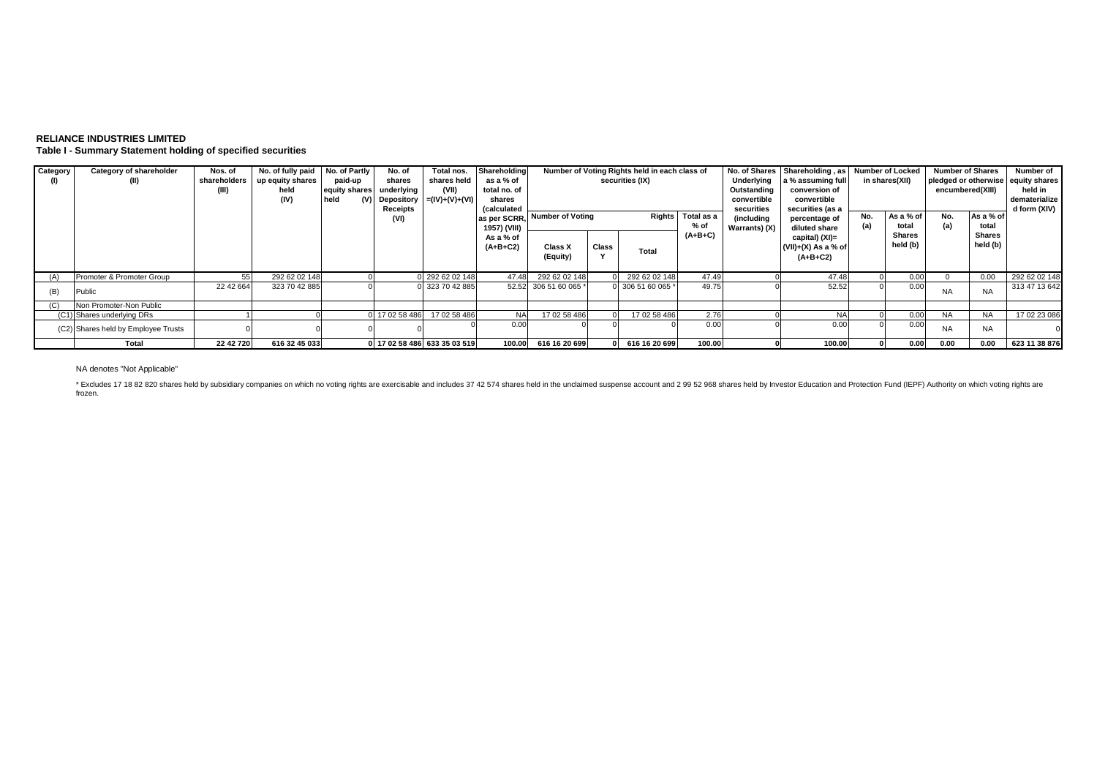## **RELIANCE INDUSTRIES LIMITED Table I - Summary Statement holding of specified securities**

| Category | Category of shareholder<br>(II)     | Nos. of<br>shareholders<br>(III) | No. of fully paid No. of Partly<br>up equity shares<br>held<br>(IV) | paid-up<br>equity shares<br>held | No. of<br>shares<br>underlying<br>(V) Depository<br>Receipts<br>(VI) | Total nos.<br>shares held<br>(VII)<br>$= (IV)+(V)+(V))$ | Shareholding<br>as a % of<br>total no. of<br>shares<br><i>(calculated</i> | las per SCRR, Number of Voting |       | Number of Voting Rights held in each class of<br>securities (IX)<br><b>Rights</b> | Total as a<br>% of | No. of Shares<br>Underlying<br>Outstanding<br>convertible<br>securities<br>(including | Shareholding, as<br>a % assuming full<br>conversion of<br>convertible<br>securities (as a<br>percentage of | No. | <b>Number of Locked</b><br>in shares(XII)<br>As a % of<br>total | <b>Number of Shares</b><br>encumbered(XIII)<br>No.<br>(a) | As a % of<br>total | Number of<br>pledged or otherwise equity shares<br>held in<br>dematerialize<br>d form (XIV) |
|----------|-------------------------------------|----------------------------------|---------------------------------------------------------------------|----------------------------------|----------------------------------------------------------------------|---------------------------------------------------------|---------------------------------------------------------------------------|--------------------------------|-------|-----------------------------------------------------------------------------------|--------------------|---------------------------------------------------------------------------------------|------------------------------------------------------------------------------------------------------------|-----|-----------------------------------------------------------------|-----------------------------------------------------------|--------------------|---------------------------------------------------------------------------------------------|
|          |                                     |                                  |                                                                     |                                  |                                                                      |                                                         | 1957) (VIII)<br>As a % of<br>$(A+B+C2)$                                   | Class X<br>(Equity)            | Class | Total                                                                             | $(A+B+C)$          | Warrants) (X)                                                                         | diluted share<br>capital) (XI)=<br>$(VII)+(X)$ As a % of<br>$(A+B+C2)$                                     | (a) | <b>Shares</b><br>held (b)                                       |                                                           | Shares<br>held (b) |                                                                                             |
| (A)      | Promoter & Promoter Group           | 55                               | 292 62 02 148                                                       |                                  |                                                                      | 292 62 02 148                                           | 47.48                                                                     | 292 62 02 148                  |       | 292 62 02 148                                                                     | 47.49              |                                                                                       | 47.48                                                                                                      |     | 0.00                                                            |                                                           | 0.00               | 292 62 02 148                                                                               |
| (B)      | Public                              | 22 42 664                        | 323 70 42 885                                                       |                                  |                                                                      | 323 70 42 885                                           |                                                                           | 52.52 306 51 60 065            |       | 0 306 51 60 065                                                                   | 49.75              |                                                                                       | 52.52                                                                                                      |     | 0.00                                                            | <b>NA</b>                                                 | <b>NA</b>          | 313 47 13 642                                                                               |
| (C)      | Non Promoter-Non Public             |                                  |                                                                     |                                  |                                                                      |                                                         |                                                                           |                                |       |                                                                                   |                    |                                                                                       |                                                                                                            |     |                                                                 |                                                           |                    |                                                                                             |
|          | (C1) Shares underlying DRs          |                                  |                                                                     |                                  | 17 02 58 486                                                         | 17 02 58 486                                            | <b>NA</b>                                                                 | 17 02 58 486                   |       | 17 02 58 486                                                                      | 2.76               |                                                                                       | <b>NA</b>                                                                                                  |     | 0.00                                                            | <b>NA</b>                                                 | <b>NA</b>          | 17 02 23 086                                                                                |
|          | (C2) Shares held by Employee Trusts |                                  |                                                                     |                                  |                                                                      |                                                         | 0.00                                                                      |                                |       |                                                                                   | 0.00               |                                                                                       | 0.0                                                                                                        |     | 0.00                                                            | <b>NA</b>                                                 | <b>NA</b>          |                                                                                             |
|          | Total                               | 22 42 720                        | 616 32 45 033                                                       |                                  |                                                                      | 0 17 02 58 486 633 35 03 519                            | 100.00                                                                    | 616 16 20 699                  |       | 616 16 20 699                                                                     | 100.00             |                                                                                       | 100.00                                                                                                     |     | 0.00                                                            | 0.00                                                      | 0.00               | 623 11 38 876                                                                               |

### NA denotes "Not Applicable"

\* Excludes 17 18 82 820 shares held by subsidiary companies on which no voting rights are exercisable and includes 37 42 574 shares held in the unclaimed suspense account and 2 99 52 968 shares held by Investor Education a frozen.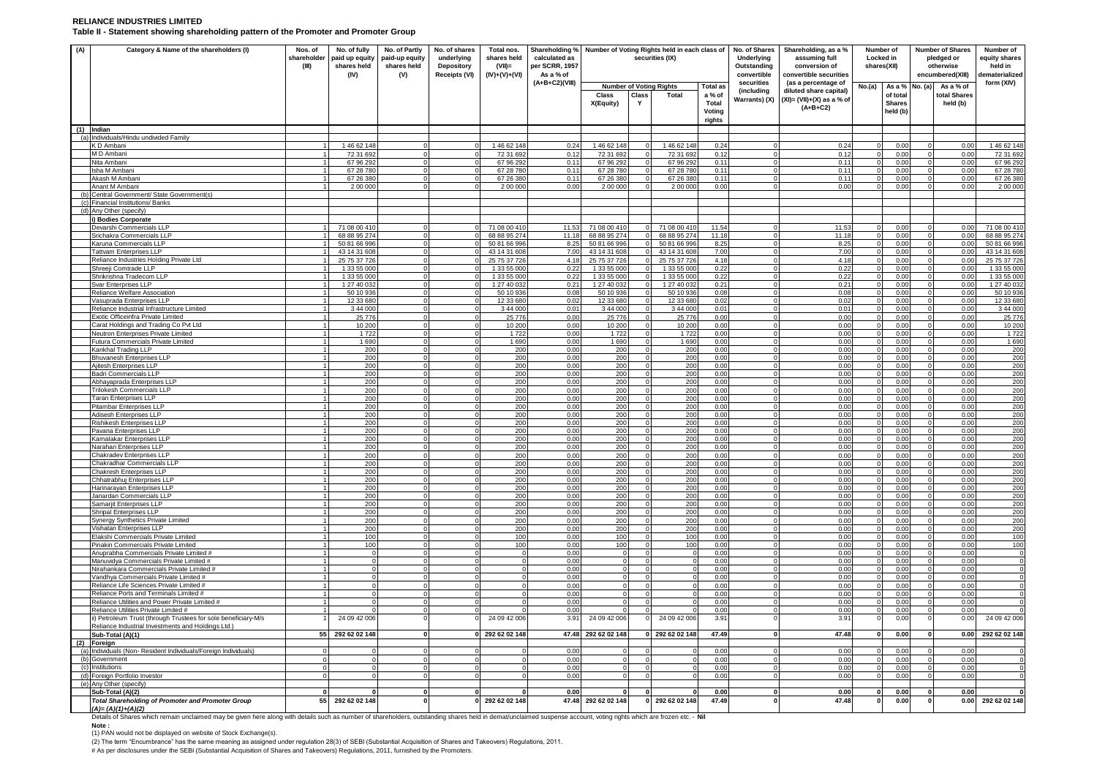#### **RELIANCE INDUSTRIES LIMITED Table II - Statement showing shareholding pattern of the Promoter and Promoter Group**

| $(1)$ Indian<br>(D Ambani<br>M D Ambani<br>Nita Ambani<br>Isha M Amban<br>Akash M Amhan<br>(c)<br>(d) Any Other (specify)                                                                                            |                                                                                                                      | (III) | paid up equity<br>shares held<br>(IV) | paid-up equity<br>shares held<br>(V) | underlying<br><b>Depository</b><br>Receipts (VI) | shares held<br>$(VII)$ =<br>$(IV)+(V)+(VI)$ | calculated as<br>per SCRR, 1957<br>As a % of |                                |              | securities (IX)            | Shareholding % Number of Voting Rights held in each class of | No. of Shares<br>Underlying<br>Outstanding<br>convertible | Shareholding, as a %<br>assuming full<br>conversion of<br>convertible securities | <b>Locked</b> in<br>shares(XII) | Number of                 |        | <b>Number of Shares</b><br>pledged or<br>otherwise<br>encumbered(XIII) | Number of<br>equity shares<br>held in<br><b>dematerialized</b> |
|----------------------------------------------------------------------------------------------------------------------------------------------------------------------------------------------------------------------|----------------------------------------------------------------------------------------------------------------------|-------|---------------------------------------|--------------------------------------|--------------------------------------------------|---------------------------------------------|----------------------------------------------|--------------------------------|--------------|----------------------------|--------------------------------------------------------------|-----------------------------------------------------------|----------------------------------------------------------------------------------|---------------------------------|---------------------------|--------|------------------------------------------------------------------------|----------------------------------------------------------------|
|                                                                                                                                                                                                                      |                                                                                                                      |       |                                       |                                      |                                                  |                                             | $(A+B+C2)(VIII)$                             | <b>Number of Voting Rights</b> |              |                            | <b>Total as</b>                                              | securities<br>(including                                  | (as a percentage of                                                              | No.(a)                          | As a % No. (a)            |        | As a % of                                                              | form (XIV)                                                     |
|                                                                                                                                                                                                                      |                                                                                                                      |       |                                       |                                      |                                                  |                                             |                                              | <b>Class</b>                   | <b>Class</b> | Total                      | a % of                                                       | Warrants) (X)                                             | diluted share capital)<br>$(XI) = (VII)+(X)$ as a % of                           |                                 | of tota                   |        | total Shares                                                           |                                                                |
|                                                                                                                                                                                                                      |                                                                                                                      |       |                                       |                                      |                                                  |                                             |                                              | X(Equity)                      | Y            |                            | Total<br>Voting                                              |                                                           | $(A+B+C2)$                                                                       |                                 | <b>Shares</b><br>held (b) |        | held (b)                                                               |                                                                |
|                                                                                                                                                                                                                      |                                                                                                                      |       |                                       |                                      |                                                  |                                             |                                              |                                |              |                            | rights                                                       |                                                           |                                                                                  |                                 |                           |        |                                                                        |                                                                |
|                                                                                                                                                                                                                      |                                                                                                                      |       |                                       |                                      |                                                  |                                             |                                              |                                |              |                            |                                                              |                                                           |                                                                                  |                                 |                           |        |                                                                        |                                                                |
|                                                                                                                                                                                                                      | (a) Individuals/Hindu undivided Family                                                                               |       | 1 46 62 148                           |                                      |                                                  | 1 46 62 148                                 | 0.24                                         | 1 46 62 148                    |              | 146 62 148                 | 0.24                                                         |                                                           | 0.24                                                                             |                                 | 0.00                      |        | 0.00                                                                   | 146 62 148                                                     |
|                                                                                                                                                                                                                      |                                                                                                                      |       | 72 31 692                             |                                      |                                                  | 72 31 692                                   | 0.12                                         | 72 31 692                      |              | 72 31 692                  | 0.12                                                         |                                                           | 0.12                                                                             |                                 | 0.00                      |        | 0.00                                                                   | 72 31 692                                                      |
|                                                                                                                                                                                                                      |                                                                                                                      |       | 67 96 292                             |                                      |                                                  | 6796292                                     | 0.11                                         | 67 96 292                      |              | 67 96 292                  | 0.11                                                         |                                                           | 0.11                                                                             |                                 | 0.00                      |        | 0.00                                                                   | 67 96 292                                                      |
|                                                                                                                                                                                                                      |                                                                                                                      |       | 67 28 780<br>67 26 380                |                                      |                                                  | 67 28 780<br>67 26 380                      | 0.11<br>0.11                                 | 67 28 780<br>67 26 380         |              | 67 28 780<br>67 26 380     | 0.11<br>0.11                                                 |                                                           | 0.11<br>0.11                                                                     | $\Omega$                        | 0.00<br>0.00              |        | 0.00<br>n nr                                                           | 67 28 780<br>67 26 380                                         |
|                                                                                                                                                                                                                      | Anant M Ambani                                                                                                       |       | 2 00 000                              |                                      |                                                  | 2 00 000                                    | 0.00                                         | 2 00 000                       |              | 2 00 000                   | 0.00                                                         |                                                           | 0.00                                                                             |                                 | 0.00                      |        | 0.00                                                                   | 2 00 000                                                       |
|                                                                                                                                                                                                                      | Central Government/ State Government(s)                                                                              |       |                                       |                                      |                                                  |                                             |                                              |                                |              |                            |                                                              |                                                           |                                                                                  |                                 |                           |        |                                                                        |                                                                |
|                                                                                                                                                                                                                      | Financial Institutions/ Banks                                                                                        |       |                                       |                                      |                                                  |                                             |                                              |                                |              |                            |                                                              |                                                           |                                                                                  |                                 |                           |        |                                                                        |                                                                |
|                                                                                                                                                                                                                      |                                                                                                                      |       |                                       |                                      |                                                  |                                             |                                              |                                |              |                            |                                                              |                                                           |                                                                                  |                                 |                           |        |                                                                        |                                                                |
|                                                                                                                                                                                                                      | i) Bodies Corporate<br>Devarshi Commercials LLP                                                                      |       | 71 08 00 410                          |                                      |                                                  | 71 08 00 410                                | 11.53                                        | 71 08 00 410                   |              | 71 08 00 41                | 11.54                                                        |                                                           | 11.53                                                                            |                                 | 0.00                      |        | 0.00                                                                   | 71 08 00 410                                                   |
|                                                                                                                                                                                                                      | Srichakra Commercials LLP                                                                                            |       | 68 88 95 274                          |                                      |                                                  | 68 88 95 274                                | 11.18                                        | 68 88 95 274                   |              | 68 88 95 274               | 11.18                                                        |                                                           | 11.18                                                                            |                                 | 0.00                      |        | 0.00                                                                   | 68 88 95 274                                                   |
|                                                                                                                                                                                                                      | Karuna Commercials LLP                                                                                               |       | 50 81 66 996                          |                                      |                                                  | 50 81 66 996                                | 8.25                                         | 50 81 66 996                   |              | 50 81 66 996               | 8.25                                                         | $\Omega$                                                  | 8.25                                                                             | $\Omega$                        | 0.00                      |        | 0.00                                                                   | 50 81 66 996                                                   |
|                                                                                                                                                                                                                      | <b>Tattvam Enterprises LLP</b>                                                                                       |       | 43 14 31 608                          |                                      |                                                  | 43 14 31 608                                | 7.00                                         | 43 14 31 608                   |              | 43 14 31 60                | 7.00                                                         |                                                           | 7.00                                                                             |                                 | 0.00                      |        | 0.00                                                                   | 43 14 31 608                                                   |
|                                                                                                                                                                                                                      | Reliance Industries Holding Private Ltd<br>Shreeji Comtrade LLP                                                      |       | 25 75 37 726<br>1 33 55 00            |                                      |                                                  | 25 75 37 726<br>1 33 55 00                  | 4.18<br>0.22                                 | 25 75 37 726<br>1 33 55 000    |              | 25 75 37 726<br>1 33 55 00 | 4.18<br>0.22                                                 | $\Omega$                                                  | 4.18<br>0.22                                                                     | $\Omega$                        | 0.00<br>0.00              |        | 0.00<br>0.00                                                           | 25 75 37 726<br>1 33 55 000                                    |
|                                                                                                                                                                                                                      | Shrikrishna Tradecom LLP                                                                                             |       | 1 33 55 000                           |                                      |                                                  | 1 33 55 000                                 | 0.22                                         | 1 33 55 000                    |              | 1 33 55 000                | 0.22                                                         |                                                           | 0.22                                                                             |                                 | 0.00                      |        | 0.00                                                                   | 1 33 55 000                                                    |
|                                                                                                                                                                                                                      | Svar Enterprises LLP                                                                                                 |       | 1 27 40 032                           |                                      |                                                  | 1 27 40 032                                 | 0.21                                         | 1 27 40 032                    |              | 1 27 40 032                | 0.21                                                         | $\Omega$                                                  | 0.21                                                                             |                                 | 0.00                      |        | 0.00                                                                   | 1 27 40 032                                                    |
|                                                                                                                                                                                                                      | Reliance Welfare Association                                                                                         |       | 50 10 936                             |                                      |                                                  | 50 10 936                                   | 0.08                                         | 50 10 936                      |              | 50 10 93                   | 0.08                                                         | $\mathbf{0}$                                              | 0.08                                                                             |                                 | 0.00                      |        | 0.00                                                                   | 50 10 936                                                      |
|                                                                                                                                                                                                                      | Vasuprada Enterprises LLP                                                                                            |       | 12 33 680                             |                                      |                                                  | 12 33 680                                   | 0.02                                         | 12 33 680                      |              | 12 33 680                  | 0.02                                                         | $\Omega$                                                  | 0.02                                                                             | $\Omega$                        | 0.00                      |        | 0.00                                                                   | 12 33 680                                                      |
|                                                                                                                                                                                                                      | Reliance Industrial Infrastructure Limited<br>Exotic Officeinfra Private Limited                                     |       | 3 44 000<br>25 7 7 6                  |                                      |                                                  | 3 44 000<br>25 7 7 6                        | 0.01<br>0.00                                 | 3 44 000<br>25 7 7 6           |              | 3 44 000<br>25 776         | 0.01<br>0.00                                                 | $\cap$                                                    | 0.01<br>0.00                                                                     | $\cap$                          | 0.00<br>0.00              |        | 0.00<br>0.00                                                           | 3 44 000<br>25 7 7 6                                           |
|                                                                                                                                                                                                                      | Carat Holdings and Trading Co Pvt Ltd                                                                                |       | 10 200                                |                                      |                                                  | 10 200                                      | 0.00                                         | 10 200                         |              | 10 200                     | 0.00                                                         |                                                           | 0.00                                                                             |                                 | 0.00                      |        | 0.00                                                                   | 10 200                                                         |
|                                                                                                                                                                                                                      | Neutron Enterprises Private Limited                                                                                  |       | 1 7 2 2                               |                                      |                                                  | 1 7 2 2                                     | 0.00                                         | 1722                           |              | 1722                       | 0.00                                                         |                                                           | 0.00                                                                             |                                 | 0.00                      |        | 0.00                                                                   | 1722                                                           |
|                                                                                                                                                                                                                      | Futura Commercials Private Limited                                                                                   |       | 1690                                  |                                      |                                                  | 1690                                        | 0.00                                         | 1690                           |              | 1690                       | 0.00                                                         |                                                           | 0.00                                                                             |                                 | 0.00                      |        | 0.00                                                                   | 1 6 9 0                                                        |
|                                                                                                                                                                                                                      | Kankhal Trading LLP<br><b>Bhuvanesh Enterprises LLP</b>                                                              |       | 200<br>200                            |                                      |                                                  | 200<br>200                                  | 0.00<br>0.00                                 | 200<br>200                     |              | 200<br>200                 | 0.00<br>0.00                                                 | $\Omega$                                                  | 0.00<br>0.00                                                                     |                                 | 0.00<br>0.00              |        | 0.00<br>0.00                                                           | 200<br>200                                                     |
|                                                                                                                                                                                                                      | Ajitesh Enterprises LLP                                                                                              |       | 200                                   |                                      |                                                  | 200                                         | 0.00                                         | 200                            |              | 200                        | 0.00                                                         |                                                           | 0.00                                                                             |                                 | 0.00                      |        | 0.00                                                                   | 200                                                            |
|                                                                                                                                                                                                                      | Badri Commercials LLP                                                                                                |       | 200                                   |                                      |                                                  | 200                                         | 0.00                                         | 200                            |              | 200                        | 0.00                                                         | $\Omega$                                                  | 0.00                                                                             |                                 | 0.00                      |        | 0.00                                                                   | 200                                                            |
|                                                                                                                                                                                                                      | Abhayaprada Enterprises LLP                                                                                          |       | 200                                   |                                      |                                                  | 200                                         | 0.00                                         | 200                            |              | 200                        | 0.00                                                         | $\Omega$                                                  | 0.00                                                                             | $\Omega$                        | 0.00                      |        | 0.00                                                                   | 200                                                            |
|                                                                                                                                                                                                                      | Trilokesh Commercials LLP                                                                                            |       | 200                                   |                                      |                                                  | 200                                         | 0.00                                         | 200                            |              | 200                        | 0.00                                                         |                                                           | 0.00                                                                             |                                 | 0.00                      |        | 0.00                                                                   | 200                                                            |
|                                                                                                                                                                                                                      | Taran Enterprises LLP<br>Pitambar Enterprises LLP                                                                    |       | 200<br>200                            |                                      |                                                  | 200<br>200                                  | 0.00<br>0.00                                 | 200<br>200                     |              | 200<br>200                 | 0.00<br>0.00                                                 |                                                           | 0.00<br>0.00                                                                     |                                 | 0.00<br>0.00              |        | 0.00<br>0.00                                                           | 200<br>200                                                     |
|                                                                                                                                                                                                                      | Adisesh Enterprises LLP                                                                                              |       | 200                                   |                                      |                                                  | 200                                         | 0.00                                         | 200                            |              | 200                        | 0.00                                                         | $\Omega$                                                  | 0.00                                                                             |                                 | 0.00                      |        | 0.00                                                                   | 200                                                            |
|                                                                                                                                                                                                                      | Rishikesh Enterprises LLP                                                                                            |       | 200                                   |                                      |                                                  | 200                                         | 000                                          | 200                            |              | 200                        | 0.00                                                         | $\Omega$                                                  | 0.00                                                                             | $\Omega$                        | 0.00                      |        | 0.00                                                                   | 200                                                            |
|                                                                                                                                                                                                                      | Pavana Enterprises LLP                                                                                               |       | 200<br>200                            |                                      |                                                  | 200                                         | 0.0(<br>0.00                                 | 200                            |              | 200                        | 0.00                                                         |                                                           | 0.00<br>0.00                                                                     |                                 | 0.0(<br>0.00              |        | 0.0(<br>0.00                                                           | 200                                                            |
|                                                                                                                                                                                                                      | Kamalakar Enterprises LLP<br>Narahari Enterprises LLP                                                                |       | 200                                   |                                      |                                                  | 200<br>200                                  | 0.00                                         | 200<br>200                     |              | 200<br>200                 | 0.00<br>0.00                                                 | $\Omega$                                                  | 0.00                                                                             |                                 | 0.00                      |        | 0.00                                                                   | 200<br>200                                                     |
|                                                                                                                                                                                                                      | Chakradev Enterprises LLP                                                                                            |       | 200                                   |                                      |                                                  | 200                                         | 0.00                                         | 200                            |              | 200                        | 0.00                                                         | $\Omega$                                                  | 0.00                                                                             |                                 | 0.00                      |        | 0.00                                                                   | 200                                                            |
|                                                                                                                                                                                                                      | Chakradhar Commercials LLP                                                                                           |       | 200                                   |                                      |                                                  | 200                                         | 0.00                                         | 200                            |              | 200                        | 0.00                                                         |                                                           | 0.00                                                                             | $\Omega$                        | 0.00                      |        | 0.00                                                                   | 200                                                            |
|                                                                                                                                                                                                                      | Chakresh Enterprises LLP                                                                                             |       | 200                                   |                                      |                                                  | 200                                         | 0.00                                         | 200                            |              | 200                        | 0.00                                                         |                                                           | 0.00                                                                             |                                 | 0.00                      |        | 0.00                                                                   | 200                                                            |
|                                                                                                                                                                                                                      | Chhatrabhuj Enterprises LLP<br>Harinarayan Enterprises LLP                                                           |       | 200<br>200                            |                                      |                                                  | 200<br>200                                  | 0.00<br>0.00                                 | 200<br>200                     |              | 200<br>200                 | 0.00<br>0.00                                                 |                                                           | 0.00<br>0.00                                                                     | $\cap$                          | 0.00<br>0.00              |        | 0.00<br>0.00                                                           | 200<br>200                                                     |
|                                                                                                                                                                                                                      | Janardan Commercials LLP                                                                                             |       | 200                                   |                                      |                                                  | 200                                         | 0.00                                         | 200                            |              | 200                        | 0.00                                                         | $\Omega$                                                  | 0.00                                                                             |                                 | 0.00                      |        | 0.00                                                                   | 200                                                            |
|                                                                                                                                                                                                                      | Samariit Enterprises LLP                                                                                             |       | 200                                   |                                      |                                                  | 200                                         | 0.00                                         | 200                            |              | 200                        | 0.00                                                         |                                                           | 0.00                                                                             |                                 | 0.00                      |        | 0.00                                                                   | 200                                                            |
|                                                                                                                                                                                                                      | Shripal Enterprises LLP                                                                                              |       | 200                                   |                                      |                                                  | 200                                         | 0.00                                         | 200                            |              | 200                        | 0.00                                                         |                                                           | 0.00                                                                             |                                 | 0.00                      |        | 0.00                                                                   | 200                                                            |
|                                                                                                                                                                                                                      | Synergy Synthetics Private Limited                                                                                   |       | 200                                   | $\Omega$                             |                                                  | 200                                         | 0.00                                         | 200                            |              | 200                        | 0.00                                                         | $\Omega$                                                  | 0.00                                                                             | $\Omega$                        | 0.00                      | $\cap$ | 0.00                                                                   | 200                                                            |
|                                                                                                                                                                                                                      | Vishatan Enterprises LLP<br>Elakshi Commercials Private Limited                                                      |       | 200<br>100                            |                                      |                                                  | 200<br>100                                  | 0.00<br>0.00                                 | 200<br>100                     |              | 200<br>100                 | 0.00<br>0.00                                                 |                                                           | 0.00<br>0.00                                                                     |                                 | 0.00<br>0.00              |        | 0.00<br>0.00                                                           | 200<br>100                                                     |
|                                                                                                                                                                                                                      | Pinakin Commercials Private Limited                                                                                  |       | 100                                   |                                      |                                                  | 100                                         | 0.00                                         | 100                            |              | 100                        | 0.00                                                         |                                                           | 0.00                                                                             |                                 | 0.00                      |        | 0.00                                                                   | 100                                                            |
|                                                                                                                                                                                                                      | Anuprabha Commercials Private Limited #                                                                              |       |                                       |                                      |                                                  |                                             | 0.00                                         | $\Omega$                       |              |                            | 0.00                                                         |                                                           | 0.00                                                                             |                                 | 0.00                      |        | 0.00                                                                   | $\overline{\mathbf{0}}$                                        |
|                                                                                                                                                                                                                      | Manuvidya Commercials Private Limited #                                                                              |       |                                       |                                      |                                                  |                                             | 0.00                                         |                                |              |                            | 0.00                                                         |                                                           | 0.00                                                                             |                                 | 0.00                      |        | 0.00                                                                   | $\overline{0}$                                                 |
|                                                                                                                                                                                                                      | Nirahankara Commercials Private Limited #<br>Vandhya Commercials Private Limited #                                   |       | $\Omega$                              |                                      |                                                  | $\Omega$                                    | 0.00<br>0.00                                 | $\Omega$                       |              | $\Omega$                   | 0.00<br>0.00                                                 | $\Omega$                                                  | 0.00<br>0.00                                                                     | $\Omega$                        | 0.00<br>0.00              |        | 0.00<br>0.00                                                           | $\overline{0}$<br>$\overline{\phantom{a}}$                     |
|                                                                                                                                                                                                                      | Reliance Life Sciences Private Limited #                                                                             |       |                                       |                                      |                                                  |                                             | 0.00                                         |                                |              |                            | 0.00                                                         |                                                           | 0.00                                                                             |                                 | 0.00                      |        | 0.00                                                                   | $\Omega$                                                       |
|                                                                                                                                                                                                                      | Reliance Ports and Terminals Limited #                                                                               |       |                                       |                                      |                                                  |                                             | 0.00                                         |                                |              |                            | 0.00                                                         |                                                           | 0.00                                                                             |                                 | 0.00                      |        | 0.00                                                                   |                                                                |
|                                                                                                                                                                                                                      | Reliance Utilities and Power Private Limited #                                                                       |       |                                       |                                      |                                                  |                                             | 0.00                                         |                                |              |                            | 0.00                                                         |                                                           | 0.00                                                                             |                                 | 0.00                      |        | 0.00                                                                   | $\Omega$                                                       |
|                                                                                                                                                                                                                      | Reliance Utilities Private Limited #                                                                                 |       |                                       |                                      |                                                  |                                             | 0.00                                         |                                |              |                            | 0.00                                                         |                                                           | 0.00                                                                             |                                 | 0.00                      |        | 0.00                                                                   |                                                                |
|                                                                                                                                                                                                                      | ii) Petroleum Trust (through Trustees for sole beneficiary-M/s<br>Reliance Industrial Investments and Holdings Ltd.) |       | 24 09 42 006                          |                                      |                                                  | 24 09 42 006                                | 3.91                                         | 24 09 42 006                   |              | 24 09 42 00                | 3.9'                                                         |                                                           | 3.91                                                                             |                                 | 0.00                      |        | 0.00                                                                   | 24 09 42 006                                                   |
|                                                                                                                                                                                                                      | Sub-Total (A)(1)                                                                                                     |       | 55 292 62 02 148                      |                                      |                                                  | 292 62 02 148                               |                                              | 47.48 292 62 02 148            |              | 0 292 62 02 148            | 47.49                                                        |                                                           | 47.48                                                                            |                                 | 0.00                      |        | 0.00                                                                   | 292 62 02 148                                                  |
| (2) Foreign                                                                                                                                                                                                          |                                                                                                                      |       |                                       |                                      |                                                  |                                             |                                              |                                |              |                            |                                                              |                                                           |                                                                                  |                                 |                           |        |                                                                        |                                                                |
|                                                                                                                                                                                                                      | (a) Individuals (Non-Resident Individuals/Foreign Individuals)                                                       |       |                                       |                                      |                                                  |                                             | 0.00                                         |                                |              |                            | 0.00                                                         |                                                           | 0.00                                                                             |                                 | 0.00                      |        | 0.00                                                                   |                                                                |
| (b) Government                                                                                                                                                                                                       |                                                                                                                      |       |                                       |                                      |                                                  |                                             | 0.00                                         | $\Omega$                       |              |                            | 0.00                                                         | $\Omega$                                                  | 0.00<br>0.00                                                                     | $\Omega$                        | 0.00<br>0.00              |        | 0.00                                                                   | $^{\circ}$<br>$\Omega$                                         |
| (c) Institutions                                                                                                                                                                                                     | (d) Foreign Portfolio Investor                                                                                       |       |                                       |                                      |                                                  |                                             | 0.00<br>0.00                                 |                                |              |                            | 0.00<br>0.00                                                 |                                                           | 0.00                                                                             | $\Omega$                        | 0.00                      |        | 0.00<br>0.00                                                           |                                                                |
| (e)                                                                                                                                                                                                                  | Any Other (specify)                                                                                                  |       |                                       |                                      |                                                  |                                             |                                              |                                |              |                            |                                                              |                                                           |                                                                                  |                                 |                           |        |                                                                        |                                                                |
|                                                                                                                                                                                                                      | Sub-Total (A)(2)                                                                                                     |       |                                       |                                      |                                                  |                                             | 0.00                                         |                                |              |                            | 0.00                                                         |                                                           | 0.00                                                                             |                                 | 0.00                      |        | 0.00                                                                   |                                                                |
|                                                                                                                                                                                                                      |                                                                                                                      | 55    | 292 62 02 148                         |                                      |                                                  | 292 62 02 148                               |                                              | 47.48 292 62 02 148            |              | 292 62 02 148              | 47.49                                                        |                                                           | 47.48                                                                            |                                 | 0.00                      |        | 0.00                                                                   | 292 62 02 148                                                  |
| Details of Shares which remain unclaimed may be given here along with details such as number of shareholders, outstanding shares held in demat/unclaimed suspense account, voting rights which are frozen etc. - Nil | <b>Total Shareholding of Promoter and Promoter Group</b><br>$(A)=(A)(1)+(A)(2)$                                      |       |                                       |                                      |                                                  |                                             |                                              |                                |              |                            |                                                              |                                                           |                                                                                  |                                 |                           |        |                                                                        |                                                                |

**Note :**  (1) PAN would not be displayed on website of Stock Exchange(s).

(2) The term "Encumbrance" has the same meaning as assigned under regulation 28(3) of SEBI (Substantial Acquisition of Shares and Takeovers) Regulations, 2011.<br># As per disclosures under the SEBI (Substantial Acquisition o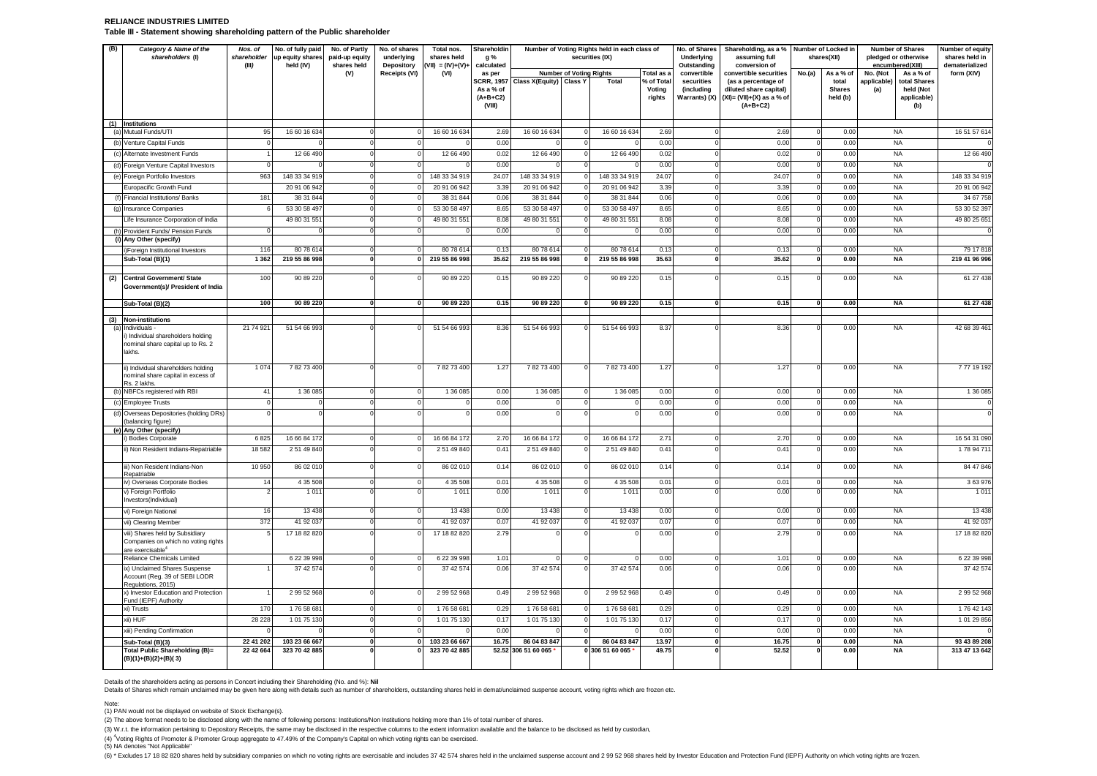#### **RELIANCE INDUSTRIES LIMITED Table III - Statement showing shareholding pattern of the Public shareholder**

| (B) | Category & Name of the<br>shareholders (I)                                                           | Nos. of<br>shareholder<br>(III) | No. of fully paid<br>up equity shares<br>held (IV) | No. of Partly<br>paid-up equity<br>shares held | No. of shares<br>underlying<br>Depository | Total nos.<br>shares held<br>$VII) = (IV)+(V)+$ | Shareholdin<br>g %<br>calculated                       |                         |                                | Number of Voting Rights held in each class of<br>securities (IX) |                               | No. of Shares<br>Underlying<br>Outstanding | Shareholding, as a % Number of Locked in<br>assuming full<br>conversion of                  |        | shares(XII)                        | <b>Number of Shares</b><br>pledged or otherwise<br>encumbered(XIII) | Number of equity<br>shares held in<br>dematerialized |
|-----|------------------------------------------------------------------------------------------------------|---------------------------------|----------------------------------------------------|------------------------------------------------|-------------------------------------------|-------------------------------------------------|--------------------------------------------------------|-------------------------|--------------------------------|------------------------------------------------------------------|-------------------------------|--------------------------------------------|---------------------------------------------------------------------------------------------|--------|------------------------------------|---------------------------------------------------------------------|------------------------------------------------------|
|     |                                                                                                      |                                 |                                                    | (V)                                            | Receipts (VI)                             | (VI)                                            | as per                                                 |                         | <b>Number of Voting Rights</b> |                                                                  | Total as                      | convertible                                | convertible securities                                                                      | No.(a) | As a % of                          | No. (Not<br>As a % of                                               | form (XIV)                                           |
|     |                                                                                                      |                                 |                                                    |                                                |                                           |                                                 | <b>SCRR, 1957</b><br>As a % of<br>$(A+B+C2)$<br>(VIII) | Class X(Equity) Class Y |                                | <b>Total</b>                                                     | % of Tota<br>Voting<br>rights | securities<br>(including<br>Warrants) (X)  | (as a percentage of<br>diluted share capital)<br>$(XI) = (VII)+(X)$ as a % of<br>$(A+B+C2)$ |        | total<br><b>Shares</b><br>held (b) | applicable)<br>total Shares<br>held (Not<br>(a)<br>applicable)      | (b)                                                  |
|     | (1) Institutions<br>(a) Mutual Funds/UTI                                                             | 95                              | 16 60 16 634                                       | $\Omega$                                       |                                           | 16 60 16 634                                    | 2.69                                                   | 16 60 16 63             |                                | 16 60 16 634                                                     | 2.69                          |                                            | 2.69                                                                                        |        | 0.00                               | <b>NA</b>                                                           | 16 51 57 614                                         |
| (b) | Venture Capital Funds                                                                                |                                 |                                                    | $\mathbf 0$                                    |                                           |                                                 | 0.00                                                   |                         |                                |                                                                  | 0.00                          |                                            | 0.00                                                                                        |        | 0.00                               | <b>NA</b>                                                           |                                                      |
| (c) | Alternate Investment Funds                                                                           |                                 | 12 66 490                                          | 0                                              |                                           | 12 66 490                                       | 0.02                                                   | 12 66 490               |                                | 12 66 490                                                        | 0.02                          |                                            | 0.02                                                                                        |        | 0.00                               | <b>NA</b>                                                           | 12 66 490                                            |
|     | (d) Foreign Venture Capital Investors                                                                |                                 |                                                    | $\mathbf 0$                                    |                                           |                                                 | 0.00                                                   |                         |                                |                                                                  | 0.00                          |                                            | 0.00                                                                                        |        | 0.00                               | <b>NA</b>                                                           |                                                      |
|     | (e) Foreign Portfolio Investors                                                                      | 963                             | 148 33 34 919                                      | $\mathbf 0$                                    | $\Omega$                                  | 148 33 34 919                                   | 24.07                                                  | 148 33 34 91            |                                | 148 33 34 919                                                    | 24.07                         |                                            | 24.07                                                                                       |        | 0.00                               | <b>NA</b>                                                           | 148 33 34 919                                        |
|     | Europacific Growth Fund                                                                              |                                 | 20 91 06 942                                       | $\Omega$                                       |                                           | 20 91 06 942                                    | 3.39                                                   | 20 91 06 942            |                                | 20 91 06 942                                                     | 3.39                          |                                            | 3.39                                                                                        |        | 0.00                               | <b>NA</b>                                                           | 20 91 06 942                                         |
|     | Financial Institutions/ Banks                                                                        | 181                             | 38 31 844                                          | $\Omega$                                       |                                           | 38 31 84                                        | 0.06                                                   | 38 31 84                |                                | 38 31 84                                                         | 0.06                          |                                            | 0.06                                                                                        |        | 0.00                               | <b>NA</b>                                                           | 34 67 758                                            |
|     | (g) Insurance Companies                                                                              |                                 | 53 30 58 497                                       | $\mathbf 0$                                    |                                           | 53 30 58 497                                    | 8.65                                                   | 53 30 58 497            |                                | 53 30 58 497                                                     | 8.65                          |                                            | 8.65                                                                                        |        | 0.00                               | <b>NA</b>                                                           | 53 30 52 397                                         |
|     | Life Insurance Corporation of India                                                                  |                                 | 49 80 31 551                                       | $^{\circ}$                                     |                                           | 49 80 31 551                                    | 8.08                                                   | 49 80 31 551            |                                | 49 80 31 551                                                     | 8.08                          |                                            | 8.08                                                                                        |        | 0.00                               | <b>NA</b>                                                           | 49 80 25 65                                          |
|     | (h) Provident Funds/ Pension Funds                                                                   |                                 |                                                    | $\Omega$                                       |                                           |                                                 | 0.00                                                   |                         |                                |                                                                  | 0.00                          |                                            | 0.00                                                                                        |        | 0.00                               | <b>NA</b>                                                           |                                                      |
|     | (i) Any Other (specify)                                                                              |                                 |                                                    |                                                |                                           |                                                 |                                                        |                         |                                |                                                                  |                               |                                            |                                                                                             |        |                                    |                                                                     |                                                      |
|     | i)Foreign Institutional Investors                                                                    | 116                             | 80 78 614                                          | $\mathbf 0$                                    | $\mathbf 0$                               | 8078614                                         | 0.13                                                   | 80 78 61                |                                | 80 78 614                                                        | 0.13                          |                                            | 0.13                                                                                        |        | 0.00                               | <b>NA</b>                                                           | 79 17 818                                            |
|     | Sub-Total (B)(1)                                                                                     | 1 3 6 2                         | 219 55 86 998                                      | $\mathbf 0$                                    | $\mathbf{0}$                              | 219 55 86 998                                   | 35.62                                                  | 219 55 86 998           |                                | 219 55 86 998                                                    | 35.63                         | $\Omega$                                   | 35.62                                                                                       |        | 0.00                               | <b>NA</b>                                                           | 219 41 96 996                                        |
| (2) | <b>Central Government/ State</b><br>Government(s)/ President of India                                | 100                             | 90 89 220                                          | $\Omega$                                       |                                           | 90 89 220                                       | 0.15                                                   | 90 89 220               |                                | 90 89 220                                                        | 0.15                          |                                            | 0.15                                                                                        |        | 0.00                               | <b>NA</b>                                                           | 61 27 438                                            |
|     | Sub-Total (B)(2)                                                                                     | 100                             | 90 89 220                                          | $\mathbf{0}$                                   | $\mathbf{a}$                              | 90 89 220                                       | 0.15                                                   | 90 89 220               |                                | 90 89 220                                                        | 0.15                          |                                            | 0.15                                                                                        |        | 0.00                               | <b>NA</b>                                                           | 61 27 438                                            |
| (3) | <b>Non-institutions</b>                                                                              |                                 |                                                    |                                                |                                           |                                                 |                                                        |                         |                                |                                                                  |                               |                                            |                                                                                             |        |                                    |                                                                     |                                                      |
| (a) | Individuals -<br>i) Individual shareholders holding<br>nominal share capital up to Rs. 2<br>lakhs.   | 21 74 92                        | 51 54 66 993                                       |                                                |                                           | 51 54 66 993                                    | 8.36                                                   | 51 54 66 993            |                                | 51 54 66 993                                                     | 8.37                          |                                            | 8.36                                                                                        |        | 0.00                               | <b>NA</b>                                                           | 42 68 39 461                                         |
|     | ii) Individual shareholders holding<br>nominal share capital in excess of<br>Rs. 2 lakhs.            | 1 0 7 4                         | 78273400                                           |                                                |                                           | 78273400                                        | 1.27                                                   | 78273400                |                                | 78273400                                                         | 1.27                          |                                            | 1.27                                                                                        |        | 0.00                               | <b>NA</b>                                                           | 777 19 192                                           |
|     | (b) NBFCs registered with RBI                                                                        | $\mathbf{A}$                    | 1 36 0 85                                          | $\Omega$                                       | C                                         | 1 36 0 85                                       | 0.00                                                   | 1 36 085                |                                | 1 36 085                                                         | 0.00                          |                                            | 0.00                                                                                        |        | 0.00                               | <b>NA</b>                                                           | 1 36 0 85                                            |
|     | (c) Employee Trusts                                                                                  |                                 |                                                    | $\mathbf 0$                                    | $\Omega$                                  |                                                 | 0.00                                                   |                         |                                |                                                                  | 0.00                          |                                            | 0.00                                                                                        |        | 0.00                               | <b>NA</b>                                                           |                                                      |
|     | Overseas Depositories (holding DRs)<br>balancing figure)                                             |                                 |                                                    |                                                |                                           |                                                 | 0.00                                                   |                         |                                |                                                                  | 0.00                          |                                            | 0.00                                                                                        |        | 0.00                               | <b>NA</b>                                                           |                                                      |
|     | (e) Any Other (specify)<br>i) Bodies Corporate                                                       | 682                             | 16 66 84 172                                       | $\mathbf 0$                                    |                                           | 16 66 84 172                                    | 2.70                                                   | 16 66 84 172            |                                | 16 66 84 172                                                     | 2.71                          |                                            | 2.7C                                                                                        |        | 0.00                               | <b>NA</b>                                                           | 16 54 31 090                                         |
|     | ii) Non Resident Indians-Repatriable                                                                 | 18 5 82                         | 2 51 49 840                                        | $\Omega$                                       |                                           | 2 51 49 840                                     | 0.41                                                   | 2 51 49 840             |                                | 2 51 49 840                                                      | 0.41                          |                                            | 0.41                                                                                        |        | 0.00                               | <b>NA</b>                                                           | 178 94 71                                            |
|     | iii) Non Resident Indians-Non                                                                        | 10 950                          | 86 02 010                                          | $\Omega$                                       |                                           | 86 02 010                                       | 0.14                                                   | 86 02 01                |                                | 86 02 010                                                        | 0.14                          |                                            | 0.14                                                                                        |        | 0.00                               | <b>NA</b>                                                           | 84 47 846                                            |
|     | Repatriable                                                                                          |                                 |                                                    |                                                |                                           |                                                 |                                                        |                         |                                |                                                                  |                               |                                            |                                                                                             |        |                                    |                                                                     |                                                      |
|     | iv) Overseas Corporate Bodies<br>v) Foreign Portfolio                                                | 14                              | 4 35 508<br>1 0 1 1                                | $\mathbf 0$<br>$\Omega$                        | $\Omega$<br>$\mathsf{C}$                  | 4 35 508<br>1011                                | 0.01<br>0.00                                           | 4 35 50<br>101          |                                | 4 35 508<br>101'                                                 | 0.01<br>0.00                  |                                            | 0.01<br>0.00                                                                                |        | 0.00<br>0.00                       | <b>NA</b><br><b>NA</b>                                              | 3 63 976<br>101                                      |
|     | nvestors(Individual)<br>vi) Foreign National                                                         | 16                              | 13 4 38                                            | $\mathbf 0$                                    | $\Omega$                                  | 13 4 38                                         | 0.00                                                   | 13 4 38                 |                                | 13 4 38                                                          | 0.00                          |                                            | 0.00                                                                                        |        | 0.00                               | <b>NA</b>                                                           | 13 4 38                                              |
|     | vii) Clearing Member                                                                                 | 372                             | 41 92 03                                           | $\Omega$                                       |                                           | 41 92 037                                       | 0.07                                                   | 41 92 037               |                                | 41 92 037                                                        | 0.07                          |                                            | 0.07                                                                                        |        | 0.00                               | <b>NA</b>                                                           | 41 92 037                                            |
|     | viii) Shares held by Subsidiary<br>Companies on which no voting rights<br>are exercisable $^{\circ}$ |                                 | 17 18 82 820                                       | $\Omega$                                       |                                           | 17 18 82 820                                    | 2.79                                                   |                         |                                |                                                                  | 0.00                          |                                            | 2.79                                                                                        |        | 0.00                               | <b>NA</b>                                                           | 17 18 82 820                                         |
|     | Reliance Chemicals Limited                                                                           |                                 | 6 22 39 998                                        | $\Omega$                                       |                                           | 6 22 39 998                                     | 1.01                                                   |                         |                                |                                                                  | 0.00                          |                                            | 1.01                                                                                        |        | 0.00                               | <b>NA</b>                                                           | 6 22 39 998                                          |
|     | ix) Unclaimed Shares Suspense<br>Account (Reg. 39 of SEBI LODR<br>Regulations, 2015)                 |                                 | 37 42 574                                          | $\Omega$                                       | $\Omega$                                  | 37 42 574                                       | 0.06                                                   | 37 42 574               |                                | 37 42 574                                                        | 0.06                          |                                            | 0.06                                                                                        |        | 0.00                               | <b>NA</b>                                                           | 37 42 574                                            |
|     | x) Investor Education and Protection<br>Fund (IEPF) Authority                                        |                                 | 2 99 52 968                                        | $\Omega$                                       |                                           | 299 52 968                                      | 0.49                                                   | 2 99 52 968             |                                | 2 99 52 968                                                      | 0.49                          |                                            | 0.49                                                                                        |        | 0.00                               | <b>NA</b>                                                           | 299 52 968                                           |
|     | xi) Trusts                                                                                           | 17                              | 176 58 68                                          | $\Omega$                                       |                                           | 176 58 681                                      | 0.29                                                   | 176 58 68               |                                | 176 58 68                                                        | 0.29                          |                                            | 0.29                                                                                        |        | 0.00                               | <b>NA</b>                                                           | 176 42 143                                           |
|     | xii) HUF                                                                                             | 28 22                           | 1 01 75 130                                        | $\mathbf 0$                                    | $\Omega$                                  | 10175130                                        | 0.17                                                   | 1 01 75 130             |                                | 1 01 75 130                                                      | 0.17                          |                                            | 0.17                                                                                        |        | 0.00                               | <b>NA</b>                                                           | 10129856                                             |
|     | xiii) Pending Confirmation                                                                           |                                 |                                                    | $\mathbf 0$                                    |                                           |                                                 | 0.00                                                   |                         |                                |                                                                  | 0.00                          |                                            | 0.00                                                                                        |        | 0.00                               | <b>NA</b>                                                           |                                                      |
|     | Sub-Total (B)(3)                                                                                     | 22 41 202                       | 103 23 66 667                                      | $\mathbf{0}$                                   |                                           | 103 23 66 667                                   | 16.75                                                  | 86 04 83 847            |                                | 86 04 83 847                                                     | 13.97                         |                                            | 16.75                                                                                       |        | 0.00                               | <b>NA</b>                                                           | 93 43 89 208                                         |
|     | Total Public Shareholding (B)=<br>$(B)(1)+(B)(2)+(B)(3)$                                             | 22 42 664                       | 323 70 42 885                                      | $\Omega$                                       |                                           | 323 70 42 885                                   |                                                        | 52.52 306 51 60 065     |                                | 0 306 51 60 065                                                  | 49.75                         |                                            | 52.52                                                                                       |        | 0.00                               | <b>NA</b>                                                           | 313 47 13 642                                        |

Details of the shareholders acting as persons in Concert including their Shareholding (No. and %): **Nil**

Details of Shares which remain unclaimed may be given here along with details such as number of shareholders, outstanding shares held in demat/unclaimed suspense account, voting rights which are frozen etc.

Note: (1) PAN would not be displayed on website of Stock Exchange(s).

(2) The above format needs to be disclosed along with the name of following persons: Institutions/Non Institutions holding more than 1% of total number of shares.

(3) W.r.t. the information pertaining to Depository Receipts, the same may be disclosed in the respective columns to the extent information available and the balance to be disclosed as held by custodian,

(4) <sup>4</sup>Voting Rights of Promoter & Promoter Group aggregate to 47.49% of the Company's Capital on which voting rights can be exercised.

(5) NA denotes "Not Applicable"

(6) \* Excludes 17 18 82 820 shares held by subsidiary companies on which no voting rights are exercisable and includes 37 42 574 shares held in the unclaimed suspense account and 2 99 52 968 shares held by Investor Educati